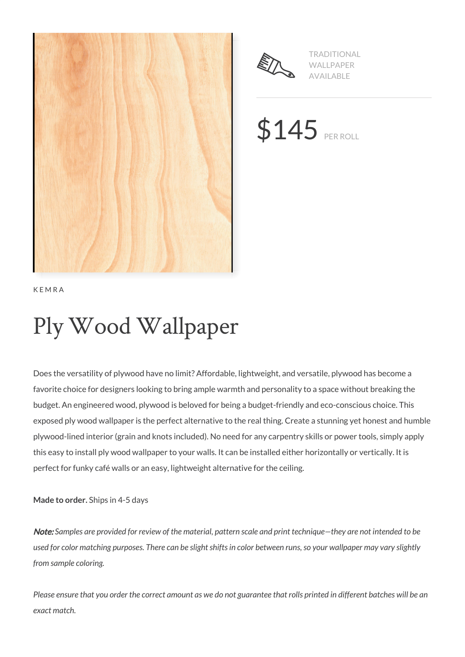



TRADITIONAL WALLPAPER AVAILABLE

**\$145 PER ROLL** 

KEMRA

# Ply Wood Wallpaper

Does the versatility of plywood have no limit? Affordable, lightweight, and versatile, plywood has become a favorite choice for designers looking to bring ample warmth and personality to a space without breaking the budget. An engineered wood, plywood is beloved for being a budget-friendly and eco-conscious choice. This exposed ply wood wallpaper is the perfect alternative to the real thing. Create a stunning yet honest and humble plywood-lined interior (grain and knots included). No need for any carpentry skills or power tools, simply apply this easy to install ply wood wallpaper to your walls. It can be installed either horizontally or vertically. It is perfect for funky café walls or an easy, lightweight alternative for the ceiling.

**Made to order.** Ships in 4-5 days

Note: *Samples are provided for review of the material, pattern scale and print technique—they are not intended to be used for color matching purposes. There can be slight shifts in color between runs, so your wallpaper may vary slightly from sample coloring.*

*Please ensure that you order the correct amount as we do not guarantee that rolls printed in different batches will be an exact match.*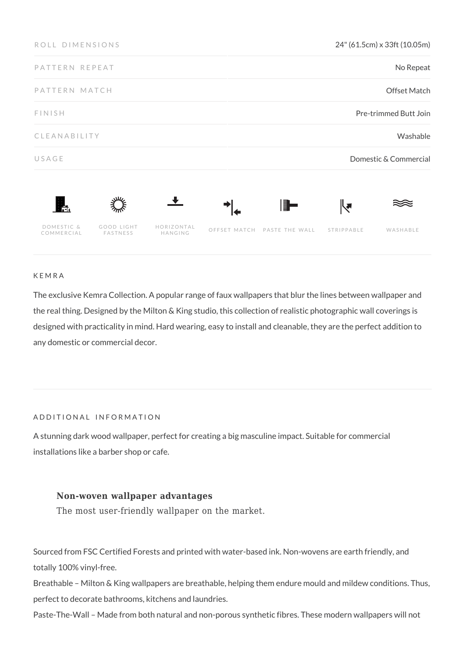| ROLL DIMENSIONS          |                        |                       |              | 24" (61.5cm) x 33ft (10.05m) |            |          |  |
|--------------------------|------------------------|-----------------------|--------------|------------------------------|------------|----------|--|
| PATTERN REPEAT           |                        |                       |              | No Repeat                    |            |          |  |
| PATTERN MATCH            |                        |                       |              | <b>Offset Match</b>          |            |          |  |
| FINISH                   |                        |                       |              | Pre-trimmed Butt Join        |            |          |  |
| CLEANABILITY             |                        |                       |              |                              |            | Washable |  |
| USAGE                    |                        |                       |              | Domestic & Commercial        |            |          |  |
| Ħ.                       |                        |                       |              | F -                          | ∣∖₹        |          |  |
| DOMESTIC &<br>COMMERCIAL | GOOD LIGHT<br>FASTNESS | HORIZONTAL<br>HANGING | OFFSET MATCH | PASTE THE WALL               | STRIPPABLE | WASHABLE |  |

#### KEMRA

The exclusive Kemra Collection. A popular range of faux wallpapers that blur the lines between wallpaper and the real thing. Designed by the Milton & King studio, this collection of realistic photographic wall coverings is designed with practicality in mind. Hard wearing, easy to install and cleanable, they are the perfect addition to any domestic or commercial decor.

#### ADDITIONAL INFORMATION

A stunning dark wood wallpaper, perfect for creating a big masculine impact. Suitable for commercial installations like a barber shop or cafe.

#### **Non-woven wallpaper advantages**

The most user-friendly wallpaper on the market.

Sourced from FSC Certified Forests and printed with water-based ink. Non-wovens are earth friendly, and totally 100% vinyl-free.

Breathable – Milton & King wallpapers are breathable, helping them endure mould and mildew conditions. Thus, perfect to decorate bathrooms, kitchens and laundries.

Paste-The-Wall – Made from both natural and non-porous synthetic fibres. These modern wallpapers will not